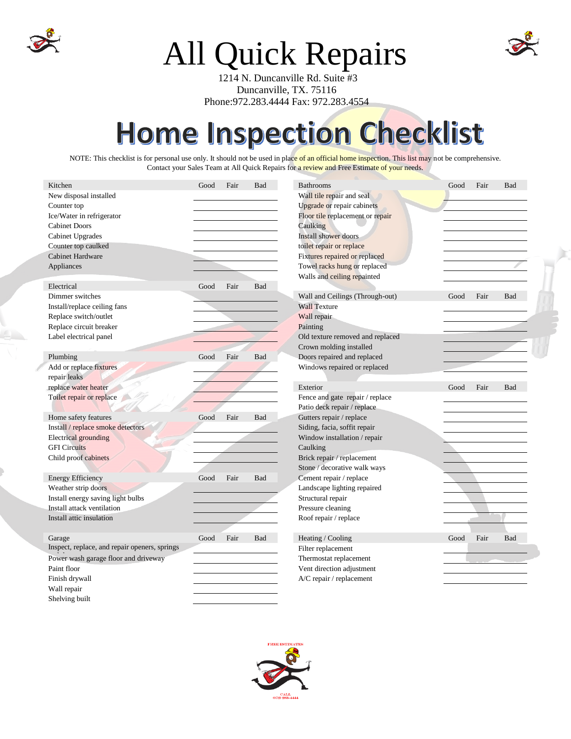

## All Quick Repairs

 1214 N. Duncanville Rd. Suite #3 Duncanville, TX. 75116 Phone:972.283.4444 Fax: 972.283.4554

## Home Inspection Checklist

NOTE: This checklist is for personal use only. It should not be used in place of an official home inspection. This list may not be comprehensive. Contact your Sales Team at All Quick Repairs for a review and Free Estimate of your needs.

| Kitchen                                       | Good                      | Fair                       | <b>Bad</b> | <b>Bathrooms</b>                 | Good | Fair | Bad |
|-----------------------------------------------|---------------------------|----------------------------|------------|----------------------------------|------|------|-----|
| New disposal installed                        | Wall tile repair and seal |                            |            |                                  |      |      |     |
| Counter top                                   |                           | Upgrade or repair cabinets |            |                                  |      |      |     |
| Ice/Water in refrigerator                     |                           |                            |            | Floor tile replacement or repair |      |      |     |
| <b>Cabinet Doors</b>                          |                           |                            |            | Caulking                         |      |      |     |
| <b>Cabinet Upgrades</b>                       |                           |                            |            | <b>Install shower doors</b>      |      |      |     |
| Counter top caulked                           |                           |                            |            | toilet repair or replace         |      |      |     |
| <b>Cabinet Hardware</b>                       |                           |                            |            | Fixtures repaired or replaced    |      |      |     |
| Appliances                                    |                           |                            |            | Towel racks hung or replaced     |      |      |     |
|                                               |                           |                            |            | Walls and ceiling repainted      |      |      |     |
| Electrical                                    | Good                      | Fair                       | Bad        |                                  |      |      |     |
| Dimmer switches                               |                           |                            |            | Wall and Ceilings (Through-out)  | Good | Fair | Bad |
| Install/replace ceiling fans                  | <b>Wall Texture</b>       |                            |            |                                  |      |      |     |
| Replace switch/outlet                         |                           |                            |            | Wall repair                      |      |      |     |
| Replace circuit breaker                       |                           |                            |            | Painting                         |      |      |     |
| Label electrical panel                        |                           |                            |            | Old texture removed and replaced |      |      |     |
|                                               |                           |                            |            | Crown molding installed          |      |      |     |
| Plumbing                                      | Good                      | Fair                       | <b>Bad</b> | Doors repaired and replaced      |      |      |     |
| Add or replace fixtures                       |                           |                            |            | Windows repaired or replaced     |      |      |     |
| repair leaks                                  |                           |                            |            |                                  |      |      |     |
| replace water heater                          |                           |                            |            | Exterior                         | Good | Fair | Bad |
| Toilet repair or replace                      |                           |                            |            | Fence and gate repair / replace  |      |      |     |
|                                               |                           |                            |            | Patio deck repair / replace      |      |      |     |
| Home safety features                          | Good                      | Fair                       | Bad        | Gutters repair / replace         |      |      |     |
| Install / replace smoke detectors             |                           |                            |            | Siding, facia, soffit repair     |      |      |     |
| <b>Electrical</b> grounding                   |                           |                            |            | Window installation / repair     |      |      |     |
| <b>GFI</b> Circuits                           |                           |                            |            | Caulking                         |      |      |     |
| Child proof cabinets                          |                           |                            |            | Brick repair / replacement       |      |      |     |
|                                               |                           |                            |            | Stone / decorative walk ways     |      |      |     |
| <b>Energy Efficiency</b>                      | Good                      | Fair                       | Bad        | Cement repair / replace          |      |      |     |
| Weather strip doors                           |                           |                            |            | Landscape lighting repaired      |      |      |     |
| Install energy saving light bulbs             |                           |                            |            | Structural repair                |      |      |     |
| Install attack ventilation                    |                           |                            |            | Pressure cleaning                |      |      |     |
| Install attic insulation                      |                           |                            |            | Roof repair / replace            |      |      |     |
|                                               |                           |                            |            |                                  |      |      |     |
| Garage                                        | Good                      | Fair                       | Bad        | Heating / Cooling                | Good | Fair | Bad |
| Inspect, replace, and repair openers, springs |                           |                            |            | Filter replacement               |      |      |     |
| Power wash garage floor and driveway          |                           |                            |            | Thermostat replacement           |      |      |     |
| Paint floor                                   |                           |                            |            | Vent direction adjustment        |      |      |     |
| Finish drywall                                |                           |                            |            | A/C repair / replacement         |      |      |     |
| Wall repair                                   |                           |                            |            |                                  |      |      |     |
| Shelving built                                |                           |                            |            |                                  |      |      |     |